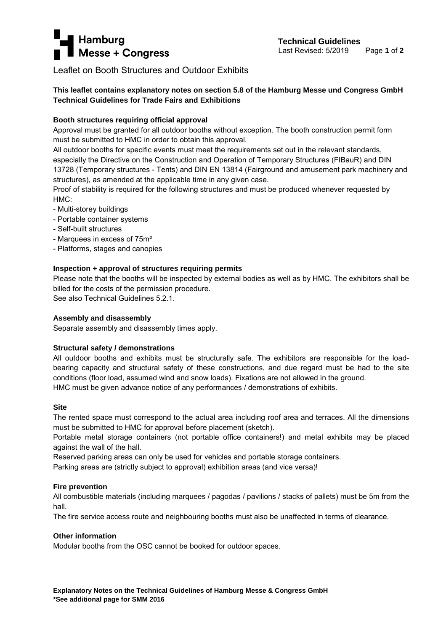# **Hamburg Technical Guidelines**<br> **Messe + Congress**<br> **Messe + Congress**

Leaflet on Booth Structures and Outdoor Exhibits

# **This leaflet contains explanatory notes on section 5.8 of the Hamburg Messe und Congress GmbH Technical Guidelines for Trade Fairs and Exhibitions**

# **Booth structures requiring official approval**

Approval must be granted for all outdoor booths without exception. The booth construction permit form must be submitted to HMC in order to obtain this approval.

All outdoor booths for specific events must meet the requirements set out in the relevant standards, especially the Directive on the Construction and Operation of Temporary Structures (FIBauR) and DIN 13728 (Temporary structures - Tents) and DIN EN 13814 (Fairground and amusement park machinery and structures), as amended at the applicable time in any given case.

Proof of stability is required for the following structures and must be produced whenever requested by HMC:

- Multi-storey buildings
- Portable container systems
- Self-built structures
- Marquees in excess of 75m²
- Platforms, stages and canopies

## **Inspection + approval of structures requiring permits**

Please note that the booths will be inspected by external bodies as well as by HMC. The exhibitors shall be billed for the costs of the permission procedure.

See also Technical Guidelines 5.2.1.

## **Assembly and disassembly**

Separate assembly and disassembly times apply.

## **Structural safety / demonstrations**

All outdoor booths and exhibits must be structurally safe. The exhibitors are responsible for the loadbearing capacity and structural safety of these constructions, and due regard must be had to the site conditions (floor load, assumed wind and snow loads). Fixations are not allowed in the ground. HMC must be given advance notice of any performances / demonstrations of exhibits.

## **Site**

The rented space must correspond to the actual area including roof area and terraces. All the dimensions must be submitted to HMC for approval before placement (sketch).

Portable metal storage containers (not portable office containers!) and metal exhibits may be placed against the wall of the hall.

Reserved parking areas can only be used for vehicles and portable storage containers.

Parking areas are (strictly subject to approval) exhibition areas (and vice versa)!

## **Fire prevention**

All combustible materials (including marquees / pagodas / pavilions / stacks of pallets) must be 5m from the hall.

The fire service access route and neighbouring booths must also be unaffected in terms of clearance.

## **Other information**

Modular booths from the OSC cannot be booked for outdoor spaces.